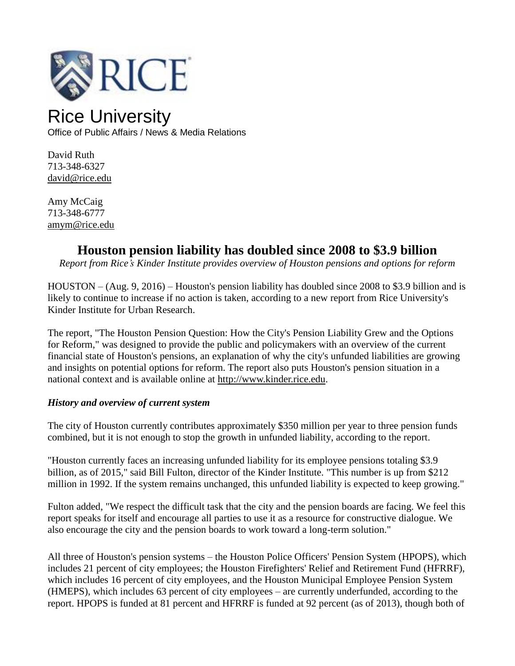

# Rice University

Office of Public Affairs / News & Media Relations

David Ruth 713-348-6327 [david@rice.edu](mailto:david@rice.edu)

Amy McCaig 713-348-6777 [amym@rice.edu](mailto:amy.hodges@rice.edu)

# **Houston pension liability has doubled since 2008 to \$3.9 billion**

*Report from Rice's Kinder Institute provides overview of Houston pensions and options for reform*

HOUSTON – (Aug. 9, 2016) – Houston's pension liability has doubled since 2008 to \$3.9 billion and is likely to continue to increase if no action is taken, according to a new report from Rice University's Kinder Institute for Urban Research.

The report, "The Houston Pension Question: How the City's Pension Liability Grew and the Options for Reform," was designed to provide the public and policymakers with an overview of the current financial state of Houston's pensions, an explanation of why the city's unfunded liabilities are growing and insights on potential options for reform. The report also puts Houston's pension situation in a national context and is available online at [http://www.kinder.rice.edu.](http://www.kinder.rice.edu/)

# *History and overview of current system*

The city of Houston currently contributes approximately \$350 million per year to three pension funds combined, but it is not enough to stop the growth in unfunded liability, according to the report.

"Houston currently faces an increasing unfunded liability for its employee pensions totaling \$3.9 billion, as of 2015," said Bill Fulton, director of the Kinder Institute. "This number is up from \$212 million in 1992. If the system remains unchanged, this unfunded liability is expected to keep growing."

Fulton added, "We respect the difficult task that the city and the pension boards are facing. We feel this report speaks for itself and encourage all parties to use it as a resource for constructive dialogue. We also encourage the city and the pension boards to work toward a long-term solution."

All three of Houston's pension systems – the Houston Police Officers' Pension System (HPOPS), which includes 21 percent of city employees; the Houston Firefighters' Relief and Retirement Fund (HFRRF), which includes 16 percent of city employees, and the Houston Municipal Employee Pension System (HMEPS), which includes 63 percent of city employees – are currently underfunded, according to the report. HPOPS is funded at 81 percent and HFRRF is funded at 92 percent (as of 2013), though both of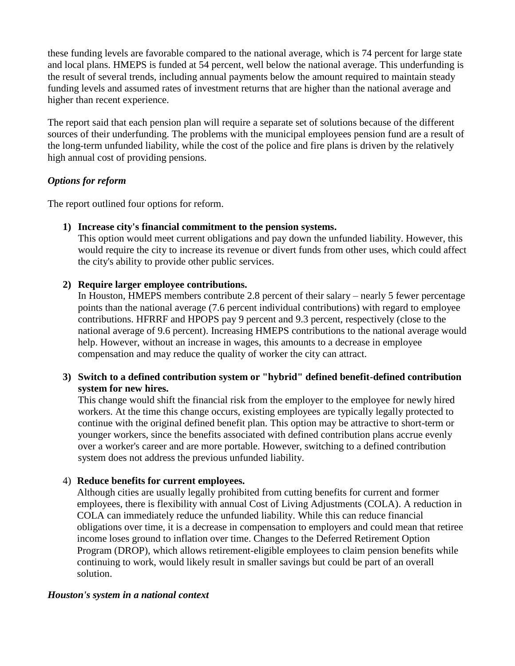these funding levels are favorable compared to the national average, which is 74 percent for large state and local plans. HMEPS is funded at 54 percent, well below the national average. This underfunding is the result of several trends, including annual payments below the amount required to maintain steady funding levels and assumed rates of investment returns that are higher than the national average and higher than recent experience.

The report said that each pension plan will require a separate set of solutions because of the different sources of their underfunding. The problems with the municipal employees pension fund are a result of the long-term unfunded liability, while the cost of the police and fire plans is driven by the relatively high annual cost of providing pensions.

#### *Options for reform*

The report outlined four options for reform.

#### **1) Increase city's financial commitment to the pension systems.**

This option would meet current obligations and pay down the unfunded liability. However, this would require the city to increase its revenue or divert funds from other uses, which could affect the city's ability to provide other public services.

# **2) Require larger employee contributions.**

In Houston, HMEPS members contribute 2.8 percent of their salary – nearly 5 fewer percentage points than the national average (7.6 percent individual contributions) with regard to employee contributions. HFRRF and HPOPS pay 9 percent and 9.3 percent, respectively (close to the national average of 9.6 percent). Increasing HMEPS contributions to the national average would help. However, without an increase in wages, this amounts to a decrease in employee compensation and may reduce the quality of worker the city can attract.

# **3) Switch to a defined contribution system or "hybrid" defined benefit-defined contribution system for new hires.**

This change would shift the financial risk from the employer to the employee for newly hired workers. At the time this change occurs, existing employees are typically legally protected to continue with the original defined benefit plan. This option may be attractive to short-term or younger workers, since the benefits associated with defined contribution plans accrue evenly over a worker's career and are more portable. However, switching to a defined contribution system does not address the previous unfunded liability.

# 4) **Reduce benefits for current employees.**

Although cities are usually legally prohibited from cutting benefits for current and former employees, there is flexibility with annual Cost of Living Adjustments (COLA). A reduction in COLA can immediately reduce the unfunded liability. While this can reduce financial obligations over time, it is a decrease in compensation to employers and could mean that retiree income loses ground to inflation over time. Changes to the Deferred Retirement Option Program (DROP), which allows retirement-eligible employees to claim pension benefits while continuing to work, would likely result in smaller savings but could be part of an overall solution.

#### *Houston's system in a national context*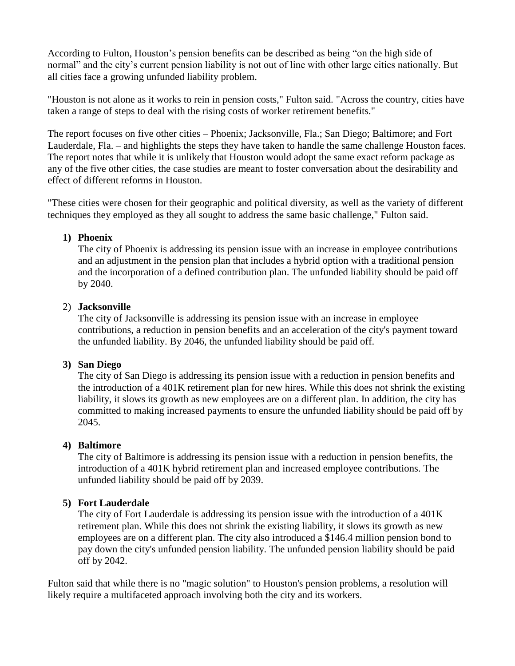According to Fulton, Houston's pension benefits can be described as being "on the high side of normal" and the city's current pension liability is not out of line with other large cities nationally. But all cities face a growing unfunded liability problem.

"Houston is not alone as it works to rein in pension costs," Fulton said. "Across the country, cities have taken a range of steps to deal with the rising costs of worker retirement benefits."

The report focuses on five other cities – Phoenix; Jacksonville, Fla.; San Diego; Baltimore; and Fort Lauderdale, Fla. – and highlights the steps they have taken to handle the same challenge Houston faces. The report notes that while it is unlikely that Houston would adopt the same exact reform package as any of the five other cities, the case studies are meant to foster conversation about the desirability and effect of different reforms in Houston.

"These cities were chosen for their geographic and political diversity, as well as the variety of different techniques they employed as they all sought to address the same basic challenge," Fulton said.

#### **1) Phoenix**

The city of Phoenix is addressing its pension issue with an increase in employee contributions and an adjustment in the pension plan that includes a hybrid option with a traditional pension and the incorporation of a defined contribution plan. The unfunded liability should be paid off by 2040.

#### 2) **Jacksonville**

The city of Jacksonville is addressing its pension issue with an increase in employee contributions, a reduction in pension benefits and an acceleration of the city's payment toward the unfunded liability. By 2046, the unfunded liability should be paid off.

#### **3) San Diego**

The city of San Diego is addressing its pension issue with a reduction in pension benefits and the introduction of a 401K retirement plan for new hires. While this does not shrink the existing liability, it slows its growth as new employees are on a different plan. In addition, the city has committed to making increased payments to ensure the unfunded liability should be paid off by 2045.

#### **4) Baltimore**

The city of Baltimore is addressing its pension issue with a reduction in pension benefits, the introduction of a 401K hybrid retirement plan and increased employee contributions. The unfunded liability should be paid off by 2039.

#### **5) Fort Lauderdale**

The city of Fort Lauderdale is addressing its pension issue with the introduction of a 401K retirement plan. While this does not shrink the existing liability, it slows its growth as new employees are on a different plan. The city also introduced a \$146.4 million pension bond to pay down the city's unfunded pension liability. The unfunded pension liability should be paid off by 2042.

Fulton said that while there is no "magic solution" to Houston's pension problems, a resolution will likely require a multifaceted approach involving both the city and its workers.